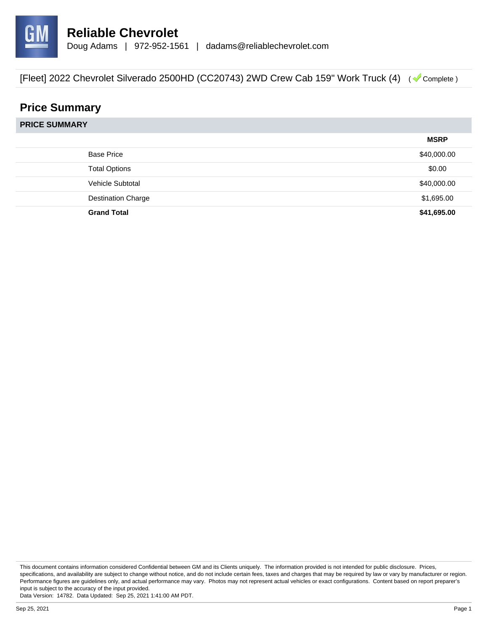

# **Price Summary**

**PRICE SUMMARY**

|                           | <b>MSRP</b> |
|---------------------------|-------------|
| <b>Base Price</b>         | \$40,000.00 |
| <b>Total Options</b>      | \$0.00      |
| Vehicle Subtotal          | \$40,000.00 |
| <b>Destination Charge</b> | \$1,695.00  |
| <b>Grand Total</b>        | \$41,695.00 |

This document contains information considered Confidential between GM and its Clients uniquely. The information provided is not intended for public disclosure. Prices, specifications, and availability are subject to change without notice, and do not include certain fees, taxes and charges that may be required by law or vary by manufacturer or region. Performance figures are guidelines only, and actual performance may vary. Photos may not represent actual vehicles or exact configurations. Content based on report preparer's input is subject to the accuracy of the input provided.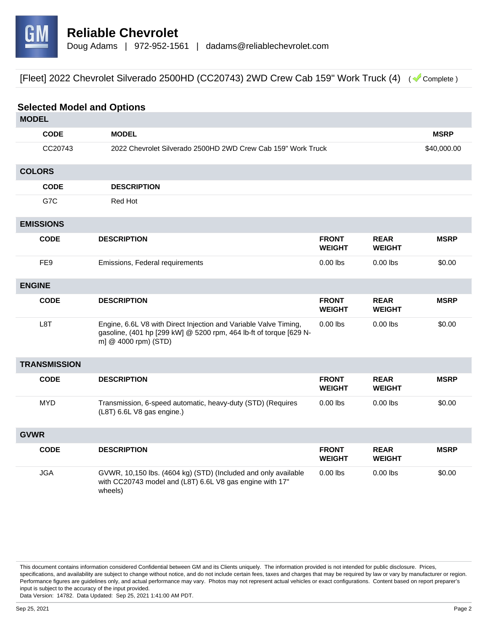

| <b>Selected Model and Options</b> |             |                                                                                                                                                                |                               |                              |             |
|-----------------------------------|-------------|----------------------------------------------------------------------------------------------------------------------------------------------------------------|-------------------------------|------------------------------|-------------|
| <b>MODEL</b>                      |             |                                                                                                                                                                |                               |                              |             |
|                                   | <b>CODE</b> | <b>MODEL</b>                                                                                                                                                   |                               |                              | <b>MSRP</b> |
|                                   | CC20743     | 2022 Chevrolet Silverado 2500HD 2WD Crew Cab 159" Work Truck                                                                                                   |                               |                              | \$40,000.00 |
| <b>COLORS</b>                     |             |                                                                                                                                                                |                               |                              |             |
|                                   | <b>CODE</b> | <b>DESCRIPTION</b>                                                                                                                                             |                               |                              |             |
| G7C                               |             | Red Hot                                                                                                                                                        |                               |                              |             |
| <b>EMISSIONS</b>                  |             |                                                                                                                                                                |                               |                              |             |
| <b>CODE</b>                       |             | <b>DESCRIPTION</b>                                                                                                                                             | <b>FRONT</b><br><b>WEIGHT</b> | <b>REAR</b><br><b>WEIGHT</b> | <b>MSRP</b> |
| FE <sub>9</sub>                   |             | Emissions, Federal requirements                                                                                                                                | $0.00$ lbs                    | $0.00$ lbs                   | \$0.00      |
| <b>ENGINE</b>                     |             |                                                                                                                                                                |                               |                              |             |
| <b>CODE</b>                       |             | <b>DESCRIPTION</b>                                                                                                                                             | <b>FRONT</b><br><b>WEIGHT</b> | <b>REAR</b><br><b>WEIGHT</b> | <b>MSRP</b> |
| L <sub>8</sub> T                  |             | Engine, 6.6L V8 with Direct Injection and Variable Valve Timing,<br>gasoline, (401 hp [299 kW] @ 5200 rpm, 464 lb-ft of torque [629 N-<br>m] @ 4000 rpm) (STD) | $0.00$ lbs                    | $0.00$ lbs                   | \$0.00      |
| <b>TRANSMISSION</b>               |             |                                                                                                                                                                |                               |                              |             |
| <b>CODE</b>                       |             | <b>DESCRIPTION</b>                                                                                                                                             | <b>FRONT</b><br><b>WEIGHT</b> | <b>REAR</b><br><b>WEIGHT</b> | <b>MSRP</b> |
| <b>MYD</b>                        |             | Transmission, 6-speed automatic, heavy-duty (STD) (Requires<br>(L8T) 6.6L V8 gas engine.)                                                                      | $0.00$ lbs                    | $0.00$ lbs                   | \$0.00      |
| <b>GVWR</b>                       |             |                                                                                                                                                                |                               |                              |             |
| <b>CODE</b>                       |             | <b>DESCRIPTION</b>                                                                                                                                             | <b>FRONT</b><br><b>WEIGHT</b> | <b>REAR</b><br><b>WEIGHT</b> | <b>MSRP</b> |
| <b>JGA</b>                        |             | GVWR, 10,150 lbs. (4604 kg) (STD) (Included and only available<br>with CC20743 model and (L8T) 6.6L V8 gas engine with 17"<br>wheels)                          | $0.00$ lbs                    | $0.00$ lbs                   | \$0.00      |

This document contains information considered Confidential between GM and its Clients uniquely. The information provided is not intended for public disclosure. Prices, specifications, and availability are subject to change without notice, and do not include certain fees, taxes and charges that may be required by law or vary by manufacturer or region. Performance figures are guidelines only, and actual performance may vary. Photos may not represent actual vehicles or exact configurations. Content based on report preparer's input is subject to the accuracy of the input provided.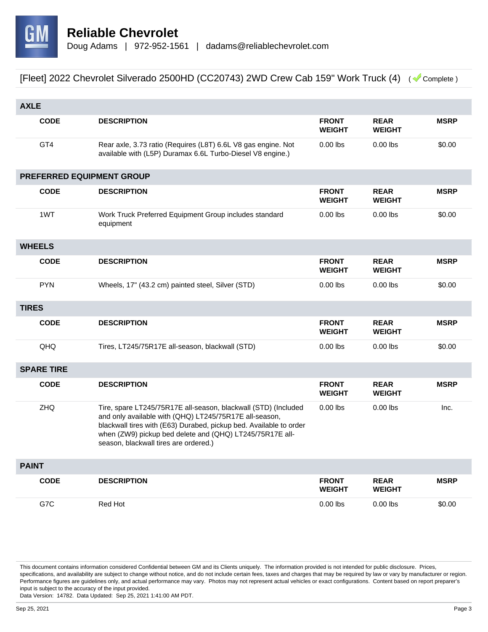

|              | <b>AXLE</b>               |                                                                                                                                                                                                                                                                                                     |                               |                              |             |
|--------------|---------------------------|-----------------------------------------------------------------------------------------------------------------------------------------------------------------------------------------------------------------------------------------------------------------------------------------------------|-------------------------------|------------------------------|-------------|
|              | <b>CODE</b>               | <b>DESCRIPTION</b>                                                                                                                                                                                                                                                                                  | <b>FRONT</b><br><b>WEIGHT</b> | <b>REAR</b><br><b>WEIGHT</b> | <b>MSRP</b> |
|              | GT4                       | Rear axle, 3.73 ratio (Requires (L8T) 6.6L V8 gas engine. Not<br>available with (L5P) Duramax 6.6L Turbo-Diesel V8 engine.)                                                                                                                                                                         | $0.00$ lbs                    | $0.00$ lbs                   | \$0.00      |
|              | PREFERRED EQUIPMENT GROUP |                                                                                                                                                                                                                                                                                                     |                               |                              |             |
|              | <b>CODE</b>               | <b>DESCRIPTION</b>                                                                                                                                                                                                                                                                                  | <b>FRONT</b><br><b>WEIGHT</b> | <b>REAR</b><br><b>WEIGHT</b> | <b>MSRP</b> |
|              | 1WT                       | Work Truck Preferred Equipment Group includes standard<br>equipment                                                                                                                                                                                                                                 | $0.00$ lbs                    | $0.00$ lbs                   | \$0.00      |
|              | <b>WHEELS</b>             |                                                                                                                                                                                                                                                                                                     |                               |                              |             |
|              | <b>CODE</b>               | <b>DESCRIPTION</b>                                                                                                                                                                                                                                                                                  | <b>FRONT</b><br><b>WEIGHT</b> | <b>REAR</b><br><b>WEIGHT</b> | <b>MSRP</b> |
|              | <b>PYN</b>                | Wheels, 17" (43.2 cm) painted steel, Silver (STD)                                                                                                                                                                                                                                                   | $0.00$ lbs                    | $0.00$ lbs                   | \$0.00      |
| <b>TIRES</b> |                           |                                                                                                                                                                                                                                                                                                     |                               |                              |             |
|              | <b>CODE</b>               | <b>DESCRIPTION</b>                                                                                                                                                                                                                                                                                  | <b>FRONT</b><br><b>WEIGHT</b> | <b>REAR</b><br><b>WEIGHT</b> | <b>MSRP</b> |
|              | QHQ                       | Tires, LT245/75R17E all-season, blackwall (STD)                                                                                                                                                                                                                                                     | $0.00$ lbs                    | $0.00$ lbs                   | \$0.00      |
|              | <b>SPARE TIRE</b>         |                                                                                                                                                                                                                                                                                                     |                               |                              |             |
|              | <b>CODE</b>               | <b>DESCRIPTION</b>                                                                                                                                                                                                                                                                                  | <b>FRONT</b><br><b>WEIGHT</b> | <b>REAR</b><br><b>WEIGHT</b> | <b>MSRP</b> |
|              | ZHQ                       | Tire, spare LT245/75R17E all-season, blackwall (STD) (Included<br>and only available with (QHQ) LT245/75R17E all-season,<br>blackwall tires with (E63) Durabed, pickup bed. Available to order<br>when (ZW9) pickup bed delete and (QHQ) LT245/75R17E all-<br>season, blackwall tires are ordered.) | $0.00$ lbs                    | $0.00$ lbs                   | Inc.        |
| <b>PAINT</b> |                           |                                                                                                                                                                                                                                                                                                     |                               |                              |             |
|              | <b>CODE</b>               | <b>DESCRIPTION</b>                                                                                                                                                                                                                                                                                  | <b>FRONT</b><br><b>WEIGHT</b> | <b>REAR</b><br><b>WEIGHT</b> | <b>MSRP</b> |
|              | G7C                       | Red Hot                                                                                                                                                                                                                                                                                             | $0.00$ lbs                    | $0.00$ lbs                   | \$0.00      |

This document contains information considered Confidential between GM and its Clients uniquely. The information provided is not intended for public disclosure. Prices, specifications, and availability are subject to change without notice, and do not include certain fees, taxes and charges that may be required by law or vary by manufacturer or region. Performance figures are guidelines only, and actual performance may vary. Photos may not represent actual vehicles or exact configurations. Content based on report preparer's input is subject to the accuracy of the input provided.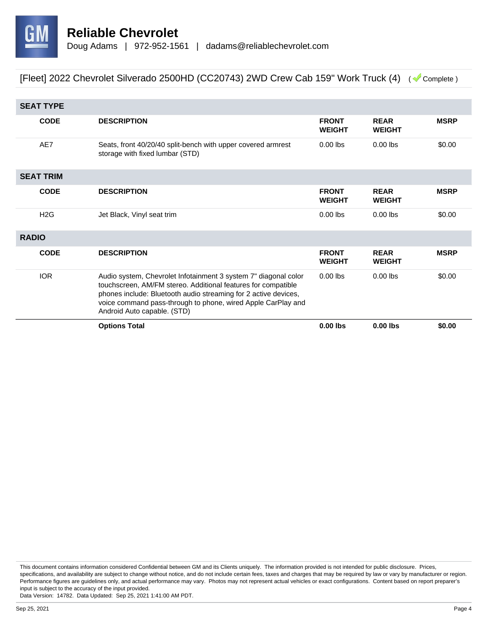

| <b>SEAT TYPE</b> |             |                                                                                                                                                                                                                                                                                                    |                               |                              |             |
|------------------|-------------|----------------------------------------------------------------------------------------------------------------------------------------------------------------------------------------------------------------------------------------------------------------------------------------------------|-------------------------------|------------------------------|-------------|
|                  | <b>CODE</b> | <b>DESCRIPTION</b>                                                                                                                                                                                                                                                                                 | <b>FRONT</b><br><b>WEIGHT</b> | <b>REAR</b><br><b>WEIGHT</b> | <b>MSRP</b> |
|                  | AE7         | Seats, front 40/20/40 split-bench with upper covered armrest<br>storage with fixed lumbar (STD)                                                                                                                                                                                                    | $0.00$ lbs                    | $0.00$ lbs                   | \$0.00      |
| <b>SEAT TRIM</b> |             |                                                                                                                                                                                                                                                                                                    |                               |                              |             |
|                  | <b>CODE</b> | <b>DESCRIPTION</b>                                                                                                                                                                                                                                                                                 | <b>FRONT</b><br><b>WEIGHT</b> | <b>REAR</b><br><b>WEIGHT</b> | <b>MSRP</b> |
|                  | H2G         | Jet Black, Vinyl seat trim                                                                                                                                                                                                                                                                         | $0.00$ lbs                    | $0.00$ lbs                   | \$0.00      |
| <b>RADIO</b>     |             |                                                                                                                                                                                                                                                                                                    |                               |                              |             |
|                  | <b>CODE</b> | <b>DESCRIPTION</b>                                                                                                                                                                                                                                                                                 | <b>FRONT</b><br><b>WEIGHT</b> | <b>REAR</b><br><b>WEIGHT</b> | <b>MSRP</b> |
|                  | <b>IOR</b>  | Audio system, Chevrolet Infotainment 3 system 7" diagonal color<br>touchscreen, AM/FM stereo. Additional features for compatible<br>phones include: Bluetooth audio streaming for 2 active devices,<br>voice command pass-through to phone, wired Apple CarPlay and<br>Android Auto capable. (STD) | $0.00$ lbs                    | $0.00$ lbs                   | \$0.00      |
|                  |             | <b>Options Total</b>                                                                                                                                                                                                                                                                               | $0.00$ lbs                    | $0.00$ lbs                   | \$0.00      |

This document contains information considered Confidential between GM and its Clients uniquely. The information provided is not intended for public disclosure. Prices, specifications, and availability are subject to change without notice, and do not include certain fees, taxes and charges that may be required by law or vary by manufacturer or region. Performance figures are guidelines only, and actual performance may vary. Photos may not represent actual vehicles or exact configurations. Content based on report preparer's input is subject to the accuracy of the input provided.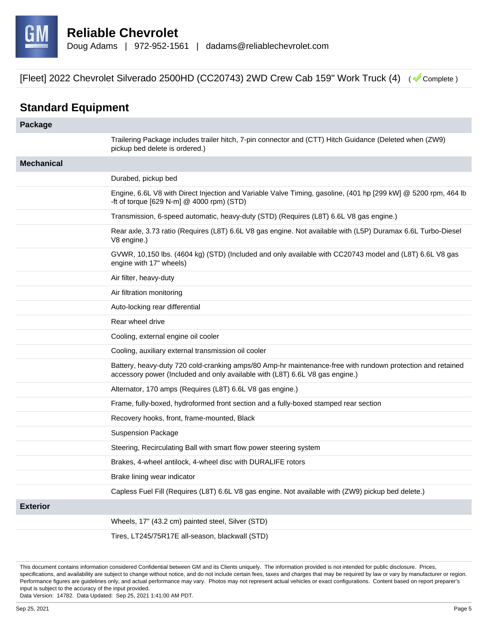

## **Standard Equipment**

| Package           |                                                                                                                                                                                            |
|-------------------|--------------------------------------------------------------------------------------------------------------------------------------------------------------------------------------------|
|                   | Trailering Package includes trailer hitch, 7-pin connector and (CTT) Hitch Guidance (Deleted when (ZW9)<br>pickup bed delete is ordered.)                                                  |
| <b>Mechanical</b> |                                                                                                                                                                                            |
|                   | Durabed, pickup bed                                                                                                                                                                        |
|                   | Engine, 6.6L V8 with Direct Injection and Variable Valve Timing, gasoline, (401 hp [299 kW] @ 5200 rpm, 464 lb<br>-ft of torque [629 N-m] @ 4000 rpm) (STD)                                |
|                   | Transmission, 6-speed automatic, heavy-duty (STD) (Requires (L8T) 6.6L V8 gas engine.)                                                                                                     |
|                   | Rear axle, 3.73 ratio (Requires (L8T) 6.6L V8 gas engine. Not available with (L5P) Duramax 6.6L Turbo-Diesel<br>V8 engine.)                                                                |
|                   | GVWR, 10,150 lbs. (4604 kg) (STD) (Included and only available with CC20743 model and (L8T) 6.6L V8 gas<br>engine with 17" wheels)                                                         |
|                   | Air filter, heavy-duty                                                                                                                                                                     |
|                   | Air filtration monitoring                                                                                                                                                                  |
|                   | Auto-locking rear differential                                                                                                                                                             |
|                   | Rear wheel drive                                                                                                                                                                           |
|                   | Cooling, external engine oil cooler                                                                                                                                                        |
|                   | Cooling, auxiliary external transmission oil cooler                                                                                                                                        |
|                   | Battery, heavy-duty 720 cold-cranking amps/80 Amp-hr maintenance-free with rundown protection and retained<br>accessory power (Included and only available with (L8T) 6.6L V8 gas engine.) |
|                   | Alternator, 170 amps (Requires (L8T) 6.6L V8 gas engine.)                                                                                                                                  |
|                   | Frame, fully-boxed, hydroformed front section and a fully-boxed stamped rear section                                                                                                       |
|                   | Recovery hooks, front, frame-mounted, Black                                                                                                                                                |
|                   | <b>Suspension Package</b>                                                                                                                                                                  |
|                   | Steering, Recirculating Ball with smart flow power steering system                                                                                                                         |
|                   | Brakes, 4-wheel antilock, 4-wheel disc with DURALIFE rotors                                                                                                                                |
|                   | Brake lining wear indicator                                                                                                                                                                |
|                   | Capless Fuel Fill (Requires (L8T) 6.6L V8 gas engine. Not available with (ZW9) pickup bed delete.)                                                                                         |
| <b>Exterior</b>   |                                                                                                                                                                                            |
|                   | Wheels, 17" (43.2 cm) painted steel, Silver (STD)                                                                                                                                          |
|                   |                                                                                                                                                                                            |

Tires, LT245/75R17E all-season, blackwall (STD)

This document contains information considered Confidential between GM and its Clients uniquely. The information provided is not intended for public disclosure. Prices, specifications, and availability are subject to change without notice, and do not include certain fees, taxes and charges that may be required by law or vary by manufacturer or region. Performance figures are guidelines only, and actual performance may vary. Photos may not represent actual vehicles or exact configurations. Content based on report preparer's input is subject to the accuracy of the input provided.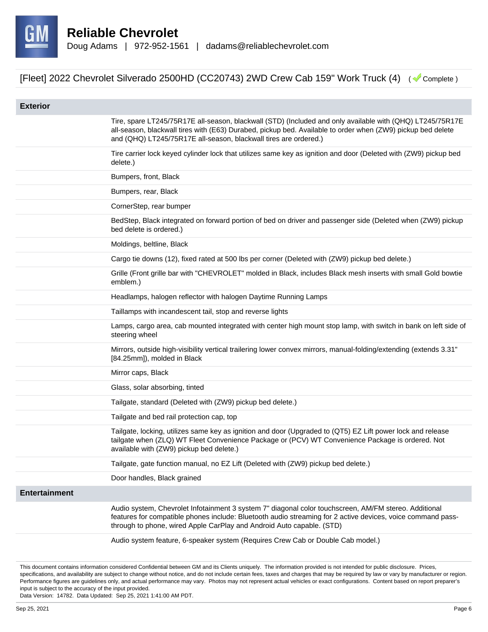

| <b>Exterior</b>      |                                                                                                                                                                                                                                                                                               |
|----------------------|-----------------------------------------------------------------------------------------------------------------------------------------------------------------------------------------------------------------------------------------------------------------------------------------------|
|                      | Tire, spare LT245/75R17E all-season, blackwall (STD) (Included and only available with (QHQ) LT245/75R17E<br>all-season, blackwall tires with (E63) Durabed, pickup bed. Available to order when (ZW9) pickup bed delete<br>and (QHQ) LT245/75R17E all-season, blackwall tires are ordered.)  |
|                      | Tire carrier lock keyed cylinder lock that utilizes same key as ignition and door (Deleted with (ZW9) pickup bed<br>delete.)                                                                                                                                                                  |
|                      | Bumpers, front, Black                                                                                                                                                                                                                                                                         |
|                      | Bumpers, rear, Black                                                                                                                                                                                                                                                                          |
|                      | CornerStep, rear bumper                                                                                                                                                                                                                                                                       |
|                      | BedStep, Black integrated on forward portion of bed on driver and passenger side (Deleted when (ZW9) pickup<br>bed delete is ordered.)                                                                                                                                                        |
|                      | Moldings, beltline, Black                                                                                                                                                                                                                                                                     |
|                      | Cargo tie downs (12), fixed rated at 500 lbs per corner (Deleted with (ZW9) pickup bed delete.)                                                                                                                                                                                               |
|                      | Grille (Front grille bar with "CHEVROLET" molded in Black, includes Black mesh inserts with small Gold bowtie<br>emblem.)                                                                                                                                                                     |
|                      | Headlamps, halogen reflector with halogen Daytime Running Lamps                                                                                                                                                                                                                               |
|                      | Taillamps with incandescent tail, stop and reverse lights                                                                                                                                                                                                                                     |
|                      | Lamps, cargo area, cab mounted integrated with center high mount stop lamp, with switch in bank on left side of<br>steering wheel                                                                                                                                                             |
|                      | Mirrors, outside high-visibility vertical trailering lower convex mirrors, manual-folding/extending (extends 3.31"<br>[84.25mm]), molded in Black                                                                                                                                             |
|                      | Mirror caps, Black                                                                                                                                                                                                                                                                            |
|                      | Glass, solar absorbing, tinted                                                                                                                                                                                                                                                                |
|                      | Tailgate, standard (Deleted with (ZW9) pickup bed delete.)                                                                                                                                                                                                                                    |
|                      | Tailgate and bed rail protection cap, top                                                                                                                                                                                                                                                     |
|                      | Tailgate, locking, utilizes same key as ignition and door (Upgraded to (QT5) EZ Lift power lock and release<br>tailgate when (ZLQ) WT Fleet Convenience Package or (PCV) WT Convenience Package is ordered. Not<br>available with (ZW9) pickup bed delete.)                                   |
|                      | Tailgate, gate function manual, no EZ Lift (Deleted with (ZW9) pickup bed delete.)                                                                                                                                                                                                            |
|                      | Door handles, Black grained                                                                                                                                                                                                                                                                   |
| <b>Entertainment</b> |                                                                                                                                                                                                                                                                                               |
|                      | Audio system, Chevrolet Infotainment 3 system 7" diagonal color touchscreen, AM/FM stereo. Additional<br>features for compatible phones include: Bluetooth audio streaming for 2 active devices, voice command pass-<br>through to phone, wired Apple CarPlay and Android Auto capable. (STD) |
|                      | Audio system feature, 6-speaker system (Requires Crew Cab or Double Cab model.)                                                                                                                                                                                                               |

This document contains information considered Confidential between GM and its Clients uniquely. The information provided is not intended for public disclosure. Prices, specifications, and availability are subject to change without notice, and do not include certain fees, taxes and charges that may be required by law or vary by manufacturer or region. Performance figures are guidelines only, and actual performance may vary. Photos may not represent actual vehicles or exact configurations. Content based on report preparer's input is subject to the accuracy of the input provided.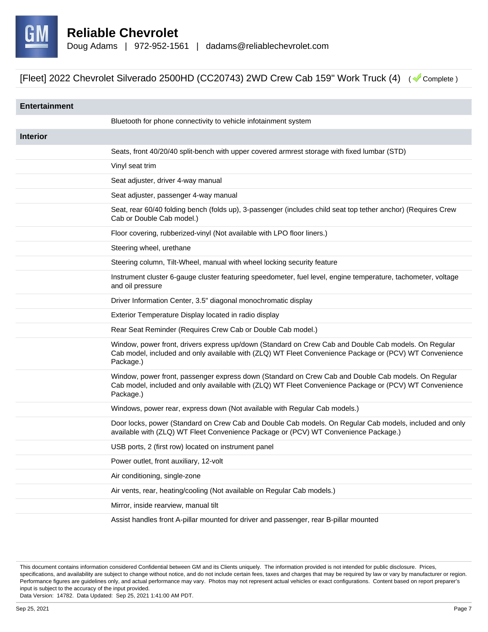

| <b>Entertainment</b> |                                                                                                                                                                                                                             |
|----------------------|-----------------------------------------------------------------------------------------------------------------------------------------------------------------------------------------------------------------------------|
|                      | Bluetooth for phone connectivity to vehicle infotainment system                                                                                                                                                             |
| <b>Interior</b>      |                                                                                                                                                                                                                             |
|                      | Seats, front 40/20/40 split-bench with upper covered armrest storage with fixed lumbar (STD)                                                                                                                                |
|                      | Vinyl seat trim                                                                                                                                                                                                             |
|                      | Seat adjuster, driver 4-way manual                                                                                                                                                                                          |
|                      | Seat adjuster, passenger 4-way manual                                                                                                                                                                                       |
|                      | Seat, rear 60/40 folding bench (folds up), 3-passenger (includes child seat top tether anchor) (Requires Crew<br>Cab or Double Cab model.)                                                                                  |
|                      | Floor covering, rubberized-vinyl (Not available with LPO floor liners.)                                                                                                                                                     |
|                      | Steering wheel, urethane                                                                                                                                                                                                    |
|                      | Steering column, Tilt-Wheel, manual with wheel locking security feature                                                                                                                                                     |
|                      | Instrument cluster 6-gauge cluster featuring speedometer, fuel level, engine temperature, tachometer, voltage<br>and oil pressure                                                                                           |
|                      | Driver Information Center, 3.5" diagonal monochromatic display                                                                                                                                                              |
|                      | Exterior Temperature Display located in radio display                                                                                                                                                                       |
|                      | Rear Seat Reminder (Requires Crew Cab or Double Cab model.)                                                                                                                                                                 |
|                      | Window, power front, drivers express up/down (Standard on Crew Cab and Double Cab models. On Regular<br>Cab model, included and only available with (ZLQ) WT Fleet Convenience Package or (PCV) WT Convenience<br>Package.) |
|                      | Window, power front, passenger express down (Standard on Crew Cab and Double Cab models. On Regular<br>Cab model, included and only available with (ZLQ) WT Fleet Convenience Package or (PCV) WT Convenience<br>Package.)  |
|                      | Windows, power rear, express down (Not available with Regular Cab models.)                                                                                                                                                  |
|                      | Door locks, power (Standard on Crew Cab and Double Cab models. On Regular Cab models, included and only<br>available with (ZLQ) WT Fleet Convenience Package or (PCV) WT Convenience Package.)                              |
|                      | USB ports, 2 (first row) located on instrument panel                                                                                                                                                                        |
|                      | Power outlet, front auxiliary, 12-volt                                                                                                                                                                                      |
|                      | Air conditioning, single-zone                                                                                                                                                                                               |
|                      | Air vents, rear, heating/cooling (Not available on Regular Cab models.)                                                                                                                                                     |
|                      | Mirror, inside rearview, manual tilt                                                                                                                                                                                        |
|                      | Assist handles front A-pillar mounted for driver and passenger, rear B-pillar mounted                                                                                                                                       |

This document contains information considered Confidential between GM and its Clients uniquely. The information provided is not intended for public disclosure. Prices, specifications, and availability are subject to change without notice, and do not include certain fees, taxes and charges that may be required by law or vary by manufacturer or region. Performance figures are guidelines only, and actual performance may vary. Photos may not represent actual vehicles or exact configurations. Content based on report preparer's input is subject to the accuracy of the input provided.